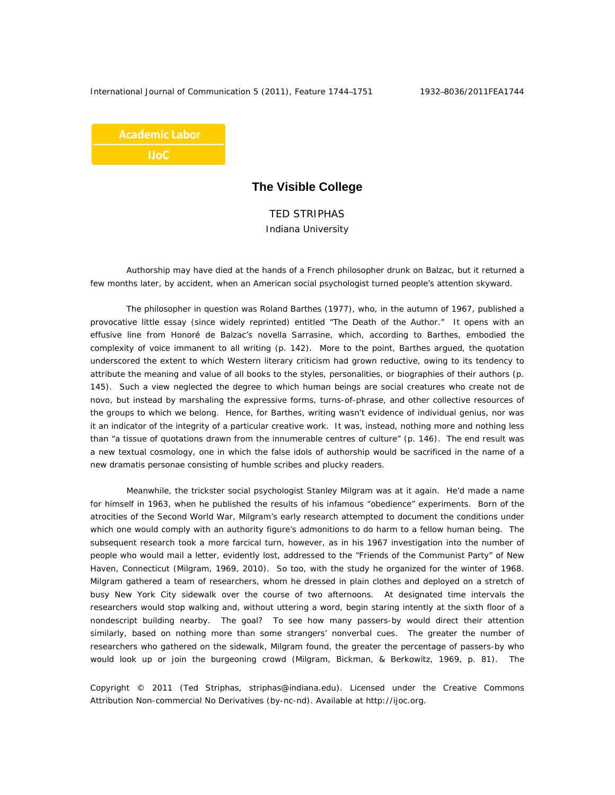**Academic Labor IJoC** 

## **The Visible College**

TED STRIPHAS Indiana University

Authorship may have died at the hands of a French philosopher drunk on Balzac, but it returned a few months later, by accident, when an American social psychologist turned people's attention skyward.

 The philosopher in question was Roland Barthes (1977), who, in the autumn of 1967, published a provocative little essay (since widely reprinted) entitled "The Death of the Author." It opens with an effusive line from Honoré de Balzac's novella *Sarrasine,* which, according to Barthes, embodied the complexity of voice immanent to all writing (p. 142). More to the point, Barthes argued, the quotation underscored the extent to which Western literary criticism had grown reductive, owing to its tendency to attribute the meaning and value of all books to the styles, personalities, or biographies of their authors (p. 145). Such a view neglected the degree to which human beings are social creatures who create not *de*  novo, but instead by marshaling the expressive forms, turns-of-phrase, and other collective resources of the groups to which we belong. Hence, for Barthes, writing wasn't evidence of individual genius, nor was it an indicator of the integrity of a particular creative work. It was, instead, nothing more and nothing less than "a tissue of quotations drawn from the innumerable centres of culture" (p. 146). The end result was a new textual cosmology, one in which the false idols of authorship would be sacrificed in the name of a new *dramatis personae* consisting of humble scribes and plucky readers.

 Meanwhile, the trickster social psychologist Stanley Milgram was at it again. He'd made a name for himself in 1963, when he published the results of his infamous "obedience" experiments. Born of the atrocities of the Second World War, Milgram's early research attempted to document the conditions under which one would comply with an authority figure's admonitions to do harm to a fellow human being. The subsequent research took a more farcical turn, however, as in his 1967 investigation into the number of people who would mail a letter, evidently lost, addressed to the "Friends of the Communist Party" of New Haven, Connecticut (Milgram, 1969, 2010). So too, with the study he organized for the winter of 1968. Milgram gathered a team of researchers, whom he dressed in plain clothes and deployed on a stretch of busy New York City sidewalk over the course of two afternoons. At designated time intervals the researchers would stop walking and, without uttering a word, begin staring intently at the sixth floor of a nondescript building nearby. The goal? To see how many passers-by would direct their attention similarly, based on nothing more than some strangers' nonverbal cues. The greater the number of researchers who gathered on the sidewalk, Milgram found, the greater the percentage of passers-by who would look up or join the burgeoning crowd (Milgram, Bickman, & Berkowitz, 1969, p. 81). The

Copyright © 2011 (Ted Striphas, striphas@indiana.edu). Licensed under the Creative Commons Attribution Non-commercial No Derivatives (by-nc-nd). Available at http://ijoc.org.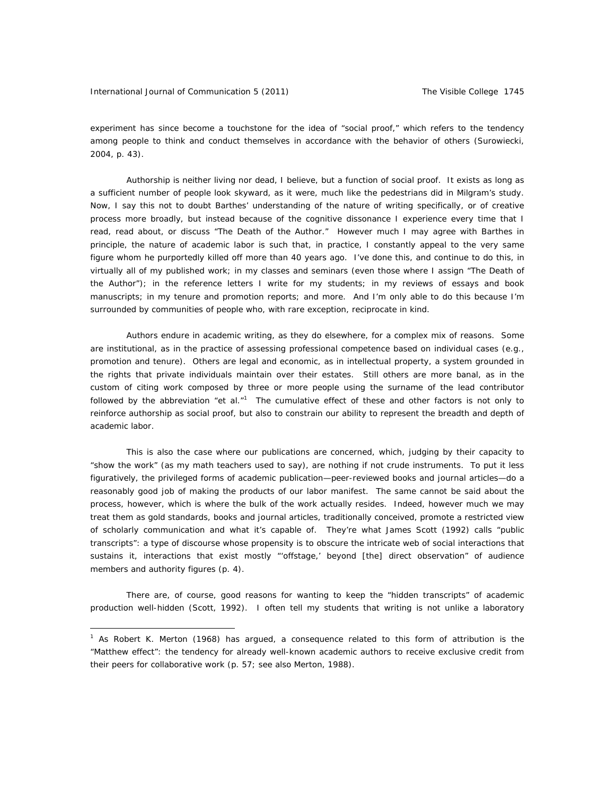$\overline{a}$ 

experiment has since become a touchstone for the idea of "social proof," which refers to the tendency among people to think and conduct themselves in accordance with the behavior of others (Surowiecki, 2004, p. 43).

 Authorship is neither living nor dead, I believe, but a function of social proof. It exists as long as a sufficient number of people look skyward, as it were, much like the pedestrians did in Milgram's study. Now, I say this not to doubt Barthes' understanding of the nature of writing specifically, or of creative process more broadly, but instead because of the cognitive dissonance I experience every time that I read, read about, or discuss "The Death of the Author." However much I may agree with Barthes in principle, the nature of academic labor is such that, in practice, I constantly appeal to the very same figure whom he purportedly killed off more than 40 years ago. I've done this, and continue to do this, in virtually all of my published work; in my classes and seminars (even those where I assign "The Death of the Author"); in the reference letters I write for my students; in my reviews of essays and book manuscripts; in my tenure and promotion reports; and more. And I'm only able to do this because I'm surrounded by communities of people who, with rare exception, reciprocate in kind.

 Authors endure in academic writing, as they do elsewhere, for a complex mix of reasons. Some are institutional, as in the practice of assessing professional competence based on individual cases (e.g., promotion and tenure). Others are legal and economic, as in intellectual property, a system grounded in the rights that private individuals maintain over their estates. Still others are more banal, as in the custom of citing work composed by three or more people using the surname of the lead contributor followed by the abbreviation "et al."<sup>1</sup> The cumulative effect of these and other factors is not only to reinforce authorship as social proof, but also to constrain our ability to represent the breadth and depth of academic labor.

 This is also the case where our publications are concerned, which, judging by their capacity to "show the work" (as my math teachers used to say), are nothing if not crude instruments. To put it less figuratively, the privileged forms of academic publication—peer-reviewed books and journal articles—do a reasonably good job of making the products of our labor manifest. The same cannot be said about the process, however, which is where the bulk of the work actually resides. Indeed, however much we may treat them as gold standards, books and journal articles, traditionally conceived, promote a restricted view of scholarly communication and what it's capable of. They're what James Scott (1992) calls "public transcripts": a type of discourse whose propensity is to obscure the intricate web of social interactions that sustains it, interactions that exist mostly "'offstage,' beyond [the] direct observation" of audience members and authority figures (p. 4).

 There are, of course, good reasons for wanting to keep the "hidden transcripts" of academic production well-hidden (Scott, 1992). I often tell my students that writing is not unlike a laboratory

<sup>&</sup>lt;sup>1</sup> As Robert K. Merton (1968) has argued, a consequence related to this form of attribution is the "Matthew effect": the tendency for already well-known academic authors to receive exclusive credit from their peers for collaborative work (p. 57; see also Merton, 1988).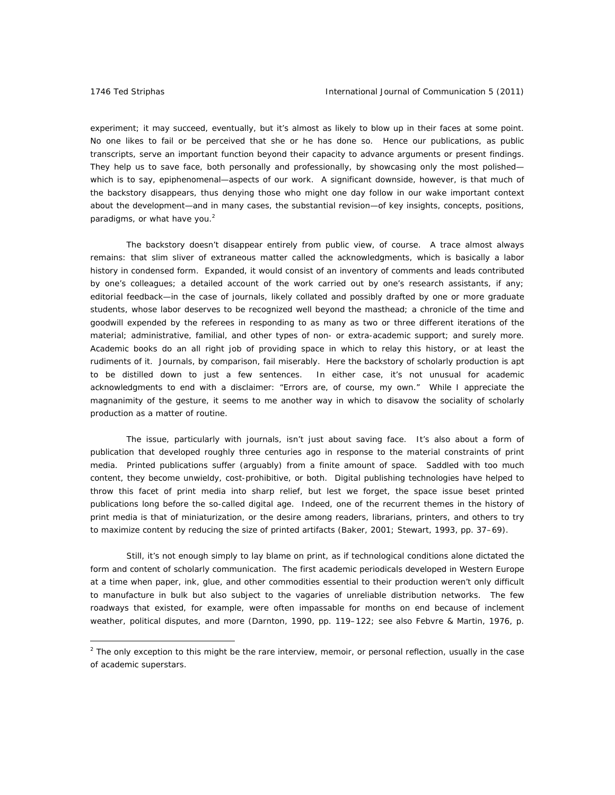$\overline{a}$ 

experiment; it may succeed, eventually, but it's almost as likely to blow up in their faces at some point. No one likes to fail or be perceived that she or he has done so. Hence our publications, as public transcripts, serve an important function beyond their capacity to advance arguments or present findings. They help us to *save* face, both personally and professionally, by showcasing only the most polished which is to say, epiphenomenal—aspects of our work. A significant downside, however, is that much of the backstory disappears, thus denying those who might one day follow in our wake important context about the development—and in many cases, the substantial revision—of key insights, concepts, positions, paradigms, or what have you.<sup>2</sup>

 The backstory doesn't disappear entirely from public view, of course. A trace almost always remains: that slim sliver of extraneous matter called the acknowledgments, which is basically a labor history in condensed form. Expanded, it would consist of an inventory of comments and leads contributed by one's colleagues; a detailed account of the work carried out by one's research assistants, if any; editorial feedback—in the case of journals, likely collated and possibly drafted by one or more graduate students, whose labor deserves to be recognized well beyond the masthead; a chronicle of the time and goodwill expended by the referees in responding to as many as two or three different iterations of the material; administrative, familial, and other types of non- or extra-academic support; and surely more. Academic books do an all right job of providing space in which to relay this history, or at least the rudiments of it. Journals, by comparison, fail miserably. Here the backstory of scholarly production is apt to be distilled down to just a few sentences. In either case, it's not unusual for academic acknowledgments to end with a disclaimer: "Errors are, of course, my own." While I appreciate the magnanimity of the gesture, it seems to me another way in which to disavow the sociality of scholarly production as a matter of routine.

 The issue, particularly with journals, isn't just about saving face. It's also about a form of publication that developed roughly three centuries ago in response to the material constraints of print media. Printed publications suffer (arguably) from a finite amount of space. Saddled with too much content, they become unwieldy, cost-prohibitive, or both. Digital publishing technologies have helped to throw this facet of print media into sharp relief, but lest we forget, the space issue beset printed publications long before the so-called digital age. Indeed, one of the recurrent themes in the history of print media is that of miniaturization, or the desire among readers, librarians, printers, and others to try to maximize content by reducing the size of printed artifacts (Baker, 2001; Stewart, 1993, pp. 37–69).

Still, it's not enough simply to lay blame on print, as if technological conditions alone dictated the form and content of scholarly communication. The first academic periodicals developed in Western Europe at a time when paper, ink, glue, and other commodities essential to their production weren't only difficult to manufacture in bulk but also subject to the vagaries of unreliable distribution networks. The few roadways that existed, for example, were often impassable for months on end because of inclement weather, political disputes, and more (Darnton, 1990, pp. 119–122; see also Febvre & Martin, 1976, p.

 $2$  The only exception to this might be the rare interview, memoir, or personal reflection, usually in the case of academic superstars.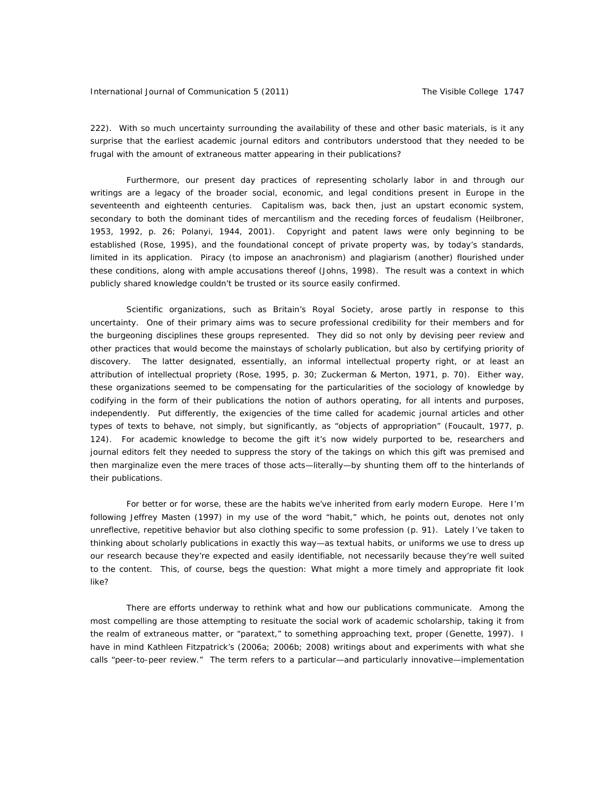222). With so much uncertainty surrounding the availability of these and other basic materials, is it any surprise that the earliest academic journal editors and contributors understood that they needed to be frugal with the amount of extraneous matter appearing in their publications?

Furthermore, our present day practices of representing scholarly labor in and through our writings are a legacy of the broader social, economic, and legal conditions present in Europe in the seventeenth and eighteenth centuries. Capitalism was, back then, just an upstart economic system, secondary to both the dominant tides of mercantilism and the receding forces of feudalism (Heilbroner, 1953, 1992, p. 26; Polanyi, 1944, 2001). Copyright and patent laws were only beginning to be established (Rose, 1995), and the foundational concept of private property was, by today's standards, limited in its application. Piracy (to impose an anachronism) and plagiarism (another) flourished under these conditions, along with ample accusations thereof (Johns, 1998). The result was a context in which publicly shared knowledge couldn't be trusted or its source easily confirmed.

Scientific organizations, such as Britain's Royal Society, arose partly in response to this uncertainty. One of their primary aims was to secure professional credibility for their members and for the burgeoning disciplines these groups represented. They did so not only by devising peer review and other practices that would become the mainstays of scholarly publication, but also by certifying priority of discovery. The latter designated, essentially, an informal intellectual property right, or at least an attribution of intellectual propriety (Rose, 1995, p. 30; Zuckerman & Merton, 1971, p. 70). Either way, these organizations seemed to be compensating for the particularities of the sociology of knowledge by codifying in the form of their publications the notion of authors operating, for all intents and purposes, independently. Put differently, the exigencies of the time called for academic journal articles and other types of texts to behave, not simply, but significantly, as "objects of appropriation" (Foucault, 1977, p. 124). For academic knowledge to become the gift it's now widely purported to be, researchers and journal editors felt they needed to suppress the story of the takings on which this gift was premised and then marginalize even the mere traces of those acts—literally—by shunting them off to the hinterlands of their publications.

For better or for worse, these are the habits we've inherited from early modern Europe. Here I'm following Jeffrey Masten (1997) in my use of the word "habit," which, he points out, denotes not only unreflective, repetitive behavior but also clothing specific to some profession (p. 91). Lately I've taken to thinking about scholarly publications in exactly this way—as textual habits, or uniforms we use to dress up our research because they're expected and easily identifiable, not necessarily because they're well suited to the content. This, of course, begs the question: What might a more timely and appropriate fit look like?

There are efforts underway to rethink *what* and *how* our publications communicate. Among the most compelling are those attempting to resituate the social work of academic scholarship, taking it from the realm of extraneous matter, or "paratext," to something approaching text, proper (Genette, 1997). I have in mind Kathleen Fitzpatrick's (2006a; 2006b; 2008) writings about and experiments with what she calls "peer-to-peer review." The term refers to a particular—and particularly innovative—implementation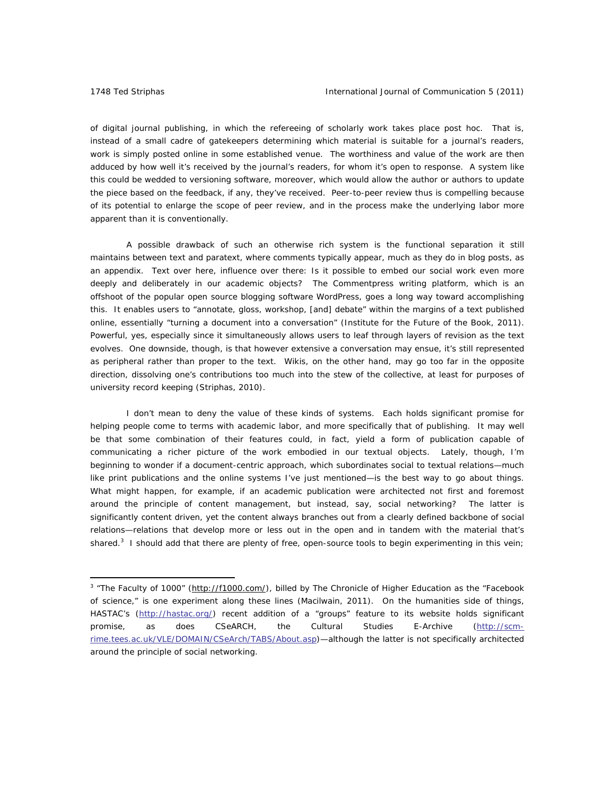$\overline{a}$ 

of digital journal publishing, in which the refereeing of scholarly work takes place post hoc. That is, instead of a small cadre of gatekeepers determining which material is suitable for a journal's readers, work is simply posted online in some established venue. The worthiness and value of the work are then adduced by how well it's received by the journal's readers, for whom it's open to response. A system like this could be wedded to versioning software, moreover, which would allow the author or authors to update the piece based on the feedback, if any, they've received. Peer-to-peer review thus is compelling because of its potential to enlarge the scope of peer review, and in the process make the underlying labor more apparent than it is conventionally.

 A possible drawback of such an otherwise rich system is the functional separation it still maintains between text and paratext, where comments typically appear, much as they do in blog posts, as an appendix. Text over here, influence over there: Is it possible to embed our social work even more deeply and deliberately in our academic objects? The Commentpress writing platform, which is an offshoot of the popular open source blogging software WordPress, goes a long way toward accomplishing this. It enables users to "annotate, gloss, workshop, [and] debate" within the margins of a text published online, essentially "turning a document into a conversation" (Institute for the Future of the Book, 2011). Powerful, yes, especially since it simultaneously allows users to leaf through layers of revision as the text evolves. One downside, though, is that however extensive a conversation may ensue, it's still represented as peripheral rather than proper to the text. Wikis, on the other hand, may go too far in the opposite direction, dissolving one's contributions too much into the stew of the collective, at least for purposes of university record keeping (Striphas, 2010).

 I don't mean to deny the value of these kinds of systems. Each holds significant promise for helping people come to terms with academic labor, and more specifically that of publishing. It may well be that some combination of their features could, in fact, yield a form of publication capable of communicating a richer picture of the work embodied in our textual objects. Lately, though, I'm beginning to wonder if a document-centric approach, which subordinates social to textual relations—much like print publications and the online systems I've just mentioned—is the best way to go about things. What might happen, for example, if an academic publication were architected not first and foremost around the principle of content management, but instead, say, social networking? The latter is significantly content driven, yet the content always branches out from a clearly defined backbone of social relations—relations that develop more or less out in the open and in tandem with the material that's shared.<sup>3</sup> I should add that there are plenty of free, open-source tools to begin experimenting in this vein;

<sup>&</sup>lt;sup>3</sup> "The Faculty of 1000" (http://f1000.com/), billed by The Chronicle of Higher Education as the "Facebook of science," is one experiment along these lines (Macilwain, 2011). On the humanities side of things, HASTAC's (http://hastac.org/) recent addition of a "groups" feature to its website holds significant promise, as does CSeARCH, the Cultural Studies E-Archive (http://scmrime.tees.ac.uk/VLE/DOMAIN/CSeArch/TABS/About.asp)—although the latter is not specifically architected around the principle of social networking.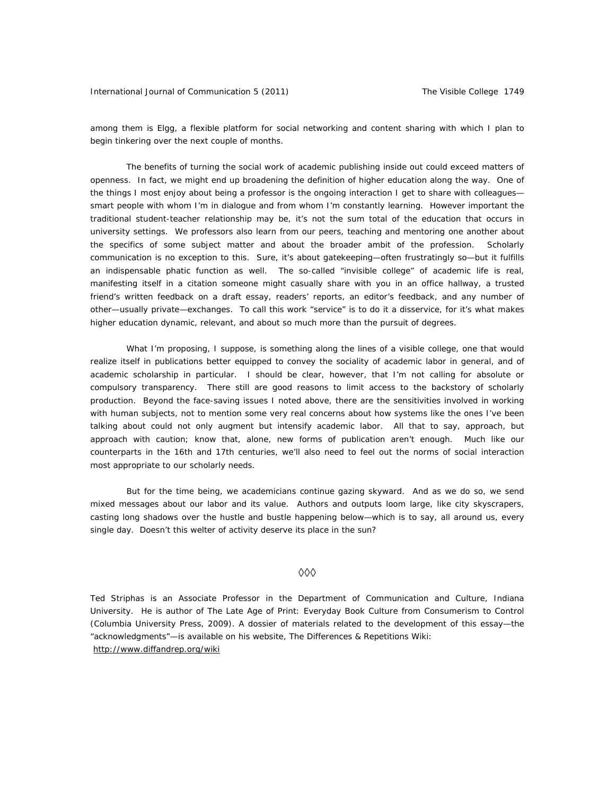among them is Elgg, a flexible platform for social networking and content sharing with which I plan to begin tinkering over the next couple of months.

 The benefits of turning the social work of academic publishing inside out could exceed matters of openness. In fact, we might end up broadening the definition of higher education along the way. One of the things I most enjoy about being a professor is the ongoing interaction I get to share with colleagues smart people with whom I'm in dialogue and from whom I'm constantly learning. However important the traditional student-teacher relationship may be, it's not the sum total of the education that occurs in university settings. We professors also learn from our peers, teaching and mentoring one another about the specifics of some subject matter and about the broader ambit of the profession. Scholarly communication is no exception to this. Sure, it's about gatekeeping—often frustratingly so—but it fulfills an indispensable phatic function as well. The so-called "invisible college" of academic life is real, manifesting itself in a citation someone might casually share with you in an office hallway, a trusted friend's written feedback on a draft essay, readers' reports, an editor's feedback, and any number of other—usually private—exchanges. To call this work "service" is to do it a disservice, for it's what makes higher education dynamic, relevant, and about so much more than the pursuit of degrees.

 What I'm proposing, I suppose, is something along the lines of a *visible* college, one that would realize itself in publications better equipped to convey the sociality of academic labor in general, and of academic scholarship in particular. I should be clear, however, that I'm not calling for absolute or compulsory transparency. There still are good reasons to limit access to the backstory of scholarly production. Beyond the face-saving issues I noted above, there are the sensitivities involved in working with human subjects, not to mention some very real concerns about how systems like the ones I've been talking about could not only augment but intensify academic labor. All that to say, approach, but approach with caution; know that, alone, new forms of publication aren't enough. Much like our counterparts in the 16th and 17th centuries, we'll also need to feel out the norms of social interaction most appropriate to our scholarly needs.

 But for the time being, we academicians continue gazing skyward. And as we do so, we send mixed messages about our labor and its value. Authors and outputs loom large, like city skyscrapers, casting long shadows over the hustle and bustle happening below—which is to say, all around us, every single day. Doesn't this welter of activity deserve its place in the sun?

## ◊◊◊

*Ted Striphas is an Associate Professor in the Department of Communication and Culture, Indiana University. He is author of* The Late Age of Print: Everyday Book Culture from Consumerism to Control *(Columbia University Press, 2009).* A dossier of materials related to the development of this essay—the "acknowledgments"—is available on his website, *The Differences & Repetitions Wiki:*  http://www.diffandrep.org/wiki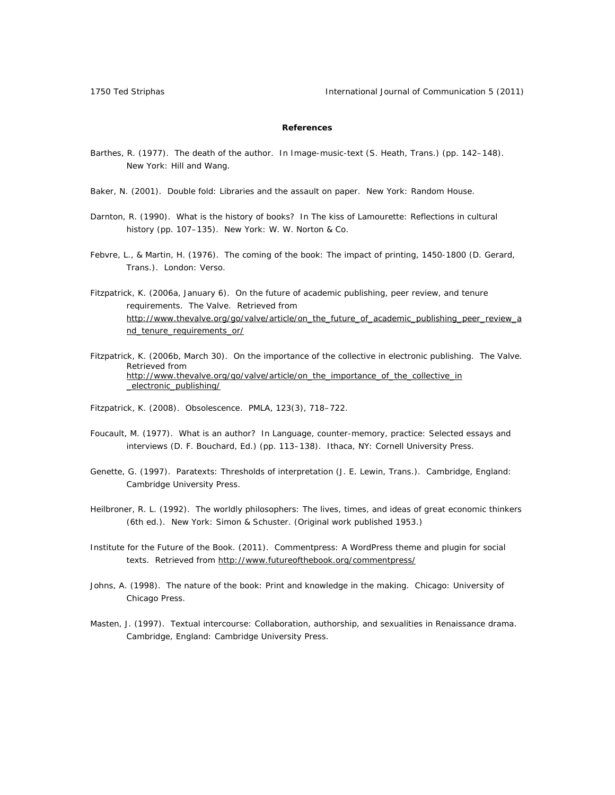## **References**

- Barthes, R. (1977). The death of the author. In *Image-music-text* (S. Heath, Trans.) (pp. 142–148). New York: Hill and Wang.
- Baker, N. (2001). *Double fold: Libraries and the assault on paper.* New York: Random House.
- Darnton, R. (1990). What is the history of books? In *The kiss of Lamourette: Reflections in cultural history* (pp. 107–135). New York: W. W. Norton & Co.
- Febvre, L., & Martin, H. (1976). *The coming of the book: The impact of printing, 1450-1800* (D. Gerard, Trans.)*.* London: Verso.
- Fitzpatrick, K. (2006a, January 6). On the future of academic publishing, peer review, and tenure requirements. *The Valve*. Retrieved from http://www.thevalve.org/go/valve/article/on\_the\_future\_of\_academic\_publishing\_peer\_review\_a nd\_tenure\_requirements\_or/
- Fitzpatrick, K. (2006b, March 30). On the importance of the collective in electronic publishing. *The Valve.*  Retrieved from http://www.thevalve.org/go/valve/article/on\_the\_importance\_of\_the\_collective\_in \_electronic\_publishing/
- Fitzpatrick, K. (2008). Obsolescence. *PMLA, 123*(3), 718–722.
- Foucault, M. (1977). What is an author? In *Language, counter-memory, practice: Selected essays and interviews* (D. F. Bouchard, Ed.) (pp. 113–138). Ithaca, NY: Cornell University Press.
- Genette, G. (1997). *Paratexts: Thresholds of interpretation* (J. E. Lewin, Trans.). Cambridge, England: Cambridge University Press.
- Heilbroner, R. L. (1992). *The worldly philosophers: The lives, times, and ideas of great economic thinkers*  (6th ed.). New York: Simon & Schuster. (Original work published 1953.)
- Institute for the Future of the Book. (2011). *Commentpress: A WordPress theme and plugin for social texts.* Retrieved from http://www.futureofthebook.org/commentpress/
- Johns, A. (1998). *The nature of the book: Print and knowledge in the making.* Chicago: University of Chicago Press.
- Masten, J. (1997). *Textual intercourse: Collaboration, authorship, and sexualities in Renaissance drama.*  Cambridge, England: Cambridge University Press.